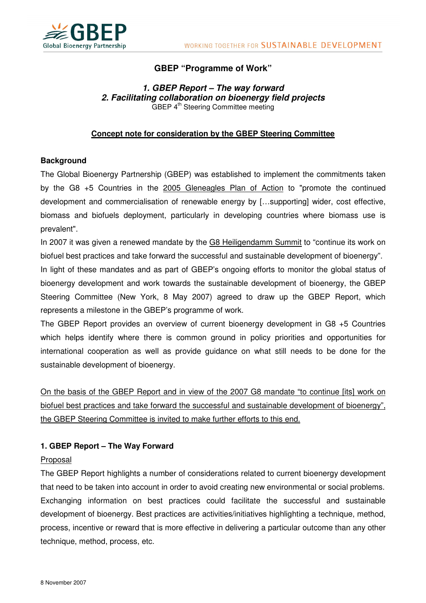



# **GBEP "Programme of Work"**

## **1. GBEP Report – The way forward 2. Facilitating collaboration on bioenergy field projects**  GBEP 4<sup>th</sup> Steering Committee meeting

# **Concept note for consideration by the GBEP Steering Committee**

## **Background**

The Global Bioenergy Partnership (GBEP) was established to implement the commitments taken by the G8 +5 Countries in the 2005 Gleneagles Plan of Action to "promote the continued development and commercialisation of renewable energy by […supporting] wider, cost effective, biomass and biofuels deployment, particularly in developing countries where biomass use is prevalent".

In 2007 it was given a renewed mandate by the G8 Heiligendamm Summit to "continue its work on biofuel best practices and take forward the successful and sustainable development of bioenergy".

In light of these mandates and as part of GBEP's ongoing efforts to monitor the global status of bioenergy development and work towards the sustainable development of bioenergy, the GBEP Steering Committee (New York, 8 May 2007) agreed to draw up the GBEP Report, which represents a milestone in the GBEP's programme of work.

The GBEP Report provides an overview of current bioenergy development in G8 +5 Countries which helps identify where there is common ground in policy priorities and opportunities for international cooperation as well as provide guidance on what still needs to be done for the sustainable development of bioenergy.

On the basis of the GBEP Report and in view of the 2007 G8 mandate "to continue [its] work on biofuel best practices and take forward the successful and sustainable development of bioenergy", the GBEP Steering Committee is invited to make further efforts to this end.

# **1. GBEP Report – The Way Forward**

### Proposal

The GBEP Report highlights a number of considerations related to current bioenergy development that need to be taken into account in order to avoid creating new environmental or social problems. Exchanging information on best practices could facilitate the successful and sustainable development of bioenergy. Best practices are activities/initiatives highlighting a technique, method, process, incentive or reward that is more effective in delivering a particular outcome than any other technique, method, process, etc.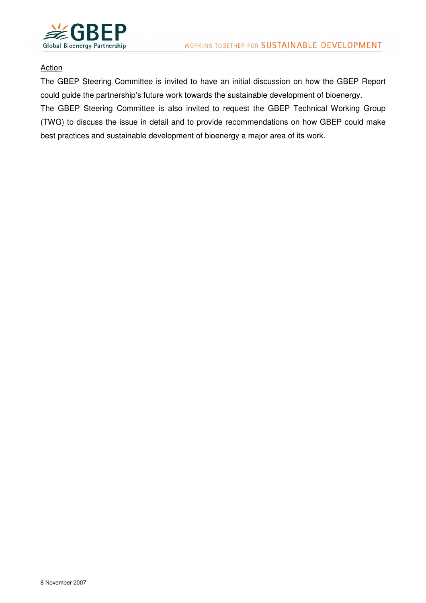

### **Action**

The GBEP Steering Committee is invited to have an initial discussion on how the GBEP Report could guide the partnership's future work towards the sustainable development of bioenergy.

The GBEP Steering Committee is also invited to request the GBEP Technical Working Group (TWG) to discuss the issue in detail and to provide recommendations on how GBEP could make best practices and sustainable development of bioenergy a major area of its work.